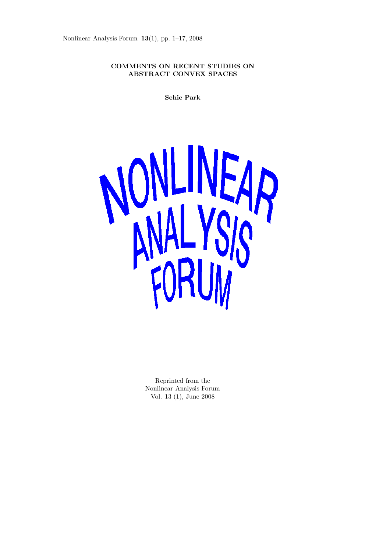Nonlinear Analysis Forum **13**(1), pp. 1–17, 2008

# **COMMENTS ON RECENT STUDIES ON ABSTRACT CONVEX SPACES**

**Sehie Park**



Reprinted from the Nonlinear Analysis Forum Vol. 13 (1), June 2008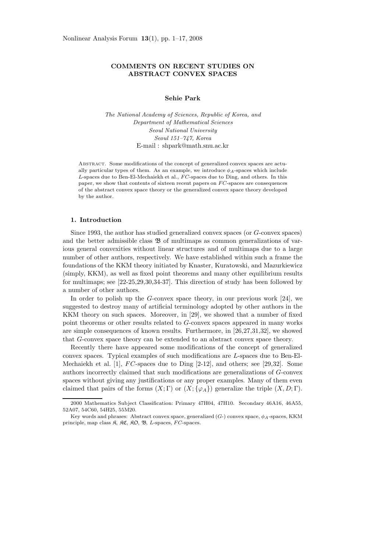## **COMMENTS ON RECENT STUDIES ON ABSTRACT CONVEX SPACES**

### **Sehie Park**

*The National Academy of Sciences, Republic of Korea, and Department of Mathematical Sciences Seoul National University Seoul 151–747, Korea* E-mail : shpark@math.snu.ac.kr

Abstract. Some modifications of the concept of generalized convex spaces are actually particular types of them. As an example, we introduce  $\phi_A$ -spaces which include  $L$ -spaces due to Ben-El-Mechaiekh et al.,  $FC$ -spaces due to Ding, and others. In this paper, we show that contents of sixteen recent papers on  $FC$ -spaces are consequences of the abstract convex space theory or the generalized convex space theory developed by the author.

### **1. Introduction**

Since 1993, the author has studied generalized convex spaces (or *G*-convex spaces) and the better admissible class  $\mathfrak{B}$  of multimaps as common generalizations of various general convexities without linear structures and of multimaps due to a large number of other authors, respectively. We have established within such a frame the foundations of the KKM theory initiated by Knaster, Kuratowski, and Mazurkiewicz (simply, KKM), as well as fixed point theorems and many other equilibrium results for multimaps; see [22-25,29,30,34-37]. This direction of study has been followed by a number of other authors.

In order to polish up the *G*-convex space theory, in our previous work [24], we suggested to destroy many of artificial terminology adopted by other authors in the KKM theory on such spaces. Moreover, in [29], we showed that a number of fixed point theorems or other results related to *G*-convex spaces appeared in many works are simple consequences of known results. Furthermore, in [26,27,31,32], we showed that *G*-convex space theory can be extended to an abstract convex space theory.

Recently there have appeared some modifications of the concept of generalized convex spaces. Typical examples of such modifications are *L*-spaces due to Ben-El-Mechaiekh et al. [1], *F C*-spaces due to Ding [2-12], and others; see [29,32]. Some authors incorrectly claimed that such modifications are generalizations of *G*-convex spaces without giving any justifications or any proper examples. Many of them even claimed that pairs of the forms  $(X; \Gamma)$  or  $(X; \{\varphi_A\})$  generalize the triple  $(X, D; \Gamma)$ .

<sup>2000</sup> Mathematics Subject Classification: Primary 47H04, 47H10. Secondary 46A16, 46A55, 52A07, 54C60, 54H25, 55M20.

Key words and phrases: Abstract convex space, generalized  $(G<sub>-</sub>)$  convex space,  $\phi_A$ -spaces, KKM principle, map class  $\mathfrak{K}$ ,  $\mathfrak{K} \mathfrak{C}$ ,  $\mathfrak{K} \mathfrak{O}$ ,  $\mathfrak{B}$ , L-spaces,  $FC$ -spaces.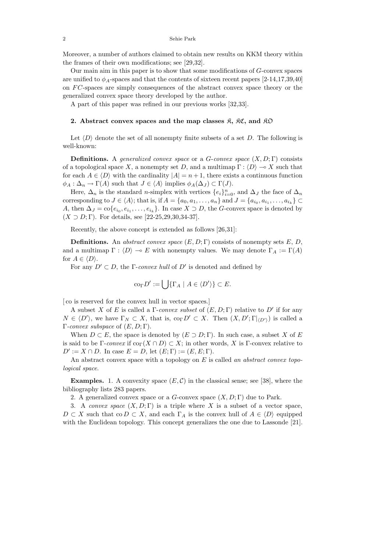Moreover, a number of authors claimed to obtain new results on KKM theory within the frames of their own modifications; see [29,32].

Our main aim in this paper is to show that some modifications of *G*-convex spaces are unified to  $\phi_A$ -spaces and that the contents of sixteen recent papers [2-14,17,39,40] on *F C*-spaces are simply consequences of the abstract convex space theory or the generalized convex space theory developed by the author.

A part of this paper was refined in our previous works [32,33].

## **2.** Abstract convex spaces and the map classes  $\hat{\mathcal{R}}$ ,  $\hat{\mathcal{R}}\hat{\mathcal{C}}$ , and  $\hat{\mathcal{R}}\hat{\mathcal{D}}$

Let  $\langle D \rangle$  denote the set of all nonempty finite subsets of a set *D*. The following is well-known:

**Definitions.** A *generalized convex space* or a *G-convex space*  $(X, D; \Gamma)$  consists of a topological space *X*, a nonempty set *D*, and a multimap  $\Gamma : \langle D \rangle \to X$  such that for each  $A \in \langle D \rangle$  with the cardinality  $|A| = n + 1$ , there exists a continuous function  $\phi_A : \Delta_n \to \Gamma(A)$  such that  $J \in \langle A \rangle$  implies  $\phi_A(\Delta_J) \subset \Gamma(J)$ .

Here,  $\Delta_n$  is the standard *n*-simplex with vertices  $\{e_i\}_{i=0}^n$ , and  $\Delta_J$  the face of  $\Delta_n$ corresponding to  $J \in \langle A \rangle$ ; that is, if  $A = \{a_0, a_1, \ldots, a_n\}$  and  $J = \{a_{i_0}, a_{i_1}, \ldots, a_{i_k}\} \subset$ *A*, then  $\Delta_J = \text{co}\{e_{i_0}, e_{i_1}, \ldots, e_{i_k}\}$ . In case  $X \supset D$ , the *G*-convex space is denoted by  $(X \supset D; \Gamma)$ . For details, see [22-25,29,30,34-37].

Recently, the above concept is extended as follows [26,31]:

**Definitions.** An *abstract convex space* (*E,D*; Γ) consists of nonempty sets *E*, *D*, and a multimap  $\Gamma : \langle D \rangle \to E$  with nonempty values. We may denote  $\Gamma_A := \Gamma(A)$ for  $A \in \langle D \rangle$ .

For any  $D' \subset D$ , the *Γ-convex hull* of  $D'$  is denoted and defined by

$$
\mathrm{co}_{\Gamma}D':=\bigcup\{\Gamma_A\mid A\in\langle D'\rangle\}\subset E.
$$

[ co is reserved for the convex hull in vector spaces.]

A subset X of E is called a  $\Gamma$ -*convex subset* of  $(E, D; \Gamma)$  relative to D' if for any  $N \in \langle D' \rangle$ , we have  $\Gamma_N \subset X$ , that is, co<sub>Γ</sub>*D'*  $\subset X$ . Then  $(X, D'; \Gamma_{\langle D' \rangle})$  is called a Γ*-convex subspace* of (*E,D*; Γ).

When  $D \subset E$ , the space is denoted by  $(E \supset D; \Gamma)$ . In such case, a subset *X* of *E* is said to be Γ-*convex* if  $\text{co}_{\Gamma}(X \cap D) \subset X$ ; in other words, X is Γ-convex relative to  $D' := X \cap D$ . In case  $E = D$ , let  $(E; \Gamma) := (E, E; \Gamma)$ .

An abstract convex space with a topology on *E* is called *an abstract convex topological space*.

**Examples.** 1. A convexity space  $(E, C)$  in the classical sense; see [38], where the bibliography lists 283 papers.

2. A generalized convex space or a *G*-convex space (*X, D*; Γ) due to Park.

3. A *convex space* (*X, D*; Γ) is a triple where *X* is a subset of a vector space,  $D \subset X$  such that co  $D \subset X$ , and each  $\Gamma_A$  is the convex hull of  $A \in \langle D \rangle$  equipped with the Euclidean topology. This concept generalizes the one due to Lassonde [21].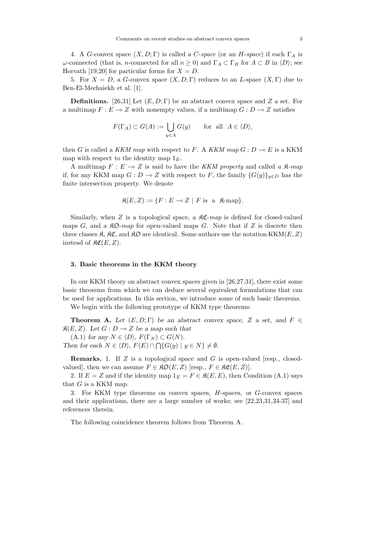4. A *G*-convex space (*X, D*; Γ) is called a *C*-*space* (or an *H*-*space*) if each Γ*<sup>A</sup>* is *ω*-connected (that is, *n*-connected for all  $n \ge 0$ ) and  $\Gamma_A \subset \Gamma_B$  for  $A \subset B$  in  $\langle D \rangle$ ; see Horvath [19,20] for particular forms for  $X = D$ .

5. For  $X = D$ , a *G*-convex space  $(X, D; \Gamma)$  reduces to an *L*-space  $(X, \Gamma)$  due to Ben-El-Mechaiekh et al. [1].

**Definitions.** [26,31] Let  $(E, D; \Gamma)$  be an abstract convex space and *Z* a set. For a multimap  $F: E \to Z$  with nonempty values, if a multimap  $G: D \to Z$  satisfies

$$
F(\Gamma_A) \subset G(A) := \bigcup_{y \in A} G(y) \quad \text{for all } A \in \langle D \rangle,
$$

then *G* is called a *KKM map* with respect to *F*. A *KKM map*  $G: D \to E$  is a KKM map with respect to the identity map 1*E*.

A multimap  $F: E \to Z$  is said to have the *KKM property* and called a  $\mathfrak{K}\text{-}map$ if, for any KKM map  $G: D \to Z$  with respect to *F*, the family  ${G(y)}_{y \in D}$  has the finite intersection property. We denote

$$
\mathfrak{K}(E, Z) := \{ F : E \multimap Z \mid F \text{ is a } \mathfrak{K}\text{-map} \}.
$$

Similarly, when  $Z$  is a topological space, a  $\Re \mathfrak{C}$ -*map* is defined for closed-valued maps  $G$ , and a  $\mathcal{R}D$ -map for open-valued maps  $G$ . Note that if  $Z$  is discrete then three classes  $\mathfrak{K}, \mathfrak{K}\mathfrak{C}$ , and  $\mathfrak{K}\mathfrak{D}$  are identical. Some authors use the notation KKM(*E*, *Z*) instead of  $\mathfrak{RC}(E,Z)$ .

### **3. Basic theorems in the KKM theory**

In our KKM theory on abstract convex spaces given in [26,27,31], there exist some basic theorems from which we can deduce several equivalent formulations that can be used for applications. In this section, we introduce some of such basic theorems.

We begin with the following prototype of KKM type theorems:

**Theorem A.** Let  $(E, D; \Gamma)$  be an abstract convex space, Z a set, and  $F \in$  $\mathfrak{K}(E, Z)$ *.* Let  $G: D \to Z$  be a map such that

 $(A.1)$  *for any*  $N \in \langle D \rangle$ ,  $F(\Gamma_N) \subset G(N)$ .

*Then for each*  $N \in \langle D \rangle$ ,  $F(E) \cap \bigcap \{ G(y) \mid y \in N \} \neq \emptyset$ .

**Remarks.** 1. If *Z* is a topological space and *G* is open-valued [resp., closedvalued, then we can assume  $F \in \mathfrak{RO}(E, Z)$  [resp.,  $F \in \mathfrak{RC}(E, Z)$ ].

2. If  $E = Z$  and if the identity map  $1_E = F \in \mathcal{R}(E, E)$ , then Condition (A.1) says that *G* is a KKM map.

3. For KKM type theorems on convex spaces, *H*-spaces, or *G*-convex spaces and their applications, there are a large number of works; see [22,23,31,34-37] and references therein.

The following coincidence theorem follows from Theorem A.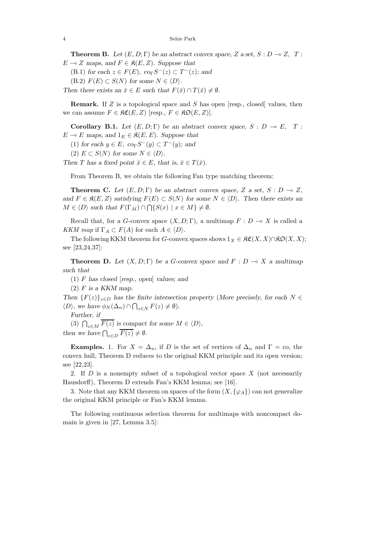**Theorem B.** Let  $(E, D; \Gamma)$  be an abstract convex space, Z a set,  $S: D \to Z$ , T:  $E \multimap Z$  *maps, and*  $F \in \mathfrak{K}(E, Z)$ *. Suppose that* 

 $(B.1)$  *for each*  $z \in F(E)$ ,  $\operatorname{co}_{\Gamma} S^{-}(z) \subset T^{-}(z)$ *; and* 

 $(F, 2)$   $F(E) \subset S(N)$  for some  $N \in \langle D \rangle$ .

*Then there exists an*  $\bar{x} \in E$  *such that*  $F(\bar{x}) \cap T(\bar{x}) \neq \emptyset$ *.* 

**Remark.** If *Z* is a topological space and *S* has open [resp., closed] values, then we can assume  $F \in \mathfrak{RC}(E, Z)$  [resp.,  $F \in \mathfrak{RO}(E, Z)$ ].

**Corollary B.1.** *Let*  $(E, D; \Gamma)$  *be an abstract convex space,*  $S : D \to E$ ,  $T :$  $E \multimap E$  maps, and  $1_E \in \mathfrak{K}(E, E)$ *. Suppose that* 

- (1) *for each*  $y \in E$ ,  $\operatorname{co}_{\Gamma} S^{-}(y) \subset T^{-}(y)$ *; and*
- $(2)$   $E \subset S(N)$  for some  $N \in \langle D \rangle$ .

*Then T* has a fixed point  $\bar{x} \in E$ , that is,  $\bar{x} \in T(\bar{x})$ .

From Theorem B, we obtain the following Fan type matching theorem:

**Theorem C.** Let  $(E, D; \Gamma)$  be an abstract convex space, Z a set, S :  $D \to Z$ , *and*  $F \in \mathcal{R}(E, Z)$  *satisfying*  $F(E) \subset S(N)$  *for some*  $N \in \langle D \rangle$ *. Then there exists an*  $M \in \langle D \rangle$  *such that*  $F(\Gamma_M) \cap \bigcap \{ S(x) \mid x \in M \} \neq \emptyset$ .

Recall that, for a *G*-convex space  $(X, D; \Gamma)$ , a multimap  $F: D \to X$  is called a *KKM map* if  $\Gamma_A \subset F(A)$  for each  $A \in \langle D \rangle$ .

The following KKM theorem for *G*-convex spaces shows  $1_X \in \mathfrak{RC}(X,X) \cap \mathfrak{RO}(X,X);$ see [23,24,37]:

**Theorem D.** Let  $(X, D; \Gamma)$  be a *G*-convex space and  $F: D \to X$  *a multimap such that*

(1) *F has closed* [*resp., open*] *values; and*

(2) *F is a KKM map.*

*Then*  $\{F(z)\}_{z\in D}$  *has the finite intersection property* (*More precisely, for each*  $N \in$  $\langle D \rangle$ , we have  $\phi_N(\Delta_n) \cap \bigcap_{z \in N} F(z) \neq \emptyset$ .

*Further, if*

(3)  $\bigcap_{z \in M} \overline{F(z)}$  is compact for some  $M \in \langle D \rangle$ , *then* we have  $\bigcap_{z \in D} \overline{F(z)} \neq \emptyset$ .

**Examples.** 1. For  $X = \Delta_n$ , if *D* is the set of vertices of  $\Delta_n$  and  $\Gamma = \infty$ , the convex hull, Theorem D reduces to the original KKM principle and its open version; see [22,23].

2. If *D* is a nonempty subset of a topological vector space *X* (not necessarily Hausdorff), Theorem D extends Fan's KKM lemma; see [16].

3. Note that any KKM theorem on spaces of the form  $(X, \{\varphi_A\})$  can not generalize the original KKM principle or Fan's KKM lemma.

The following continuous selection theorem for multimaps with noncompact domain is given in [27, Lemma 3.5]: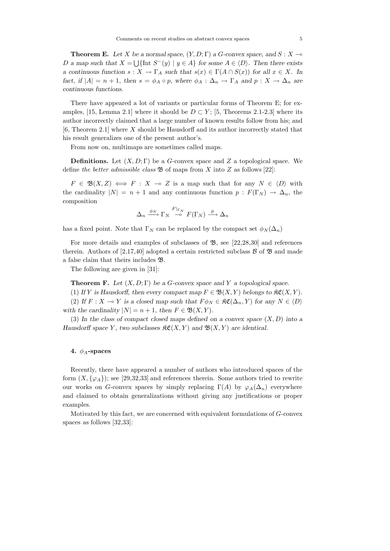**Theorem E.** Let *X* be a normal space,  $(Y, D; \Gamma)$  a *G*-convex space, and  $S: X \rightarrow$ *D a* map such that  $X = \bigcup \{\text{Int } S^-(y) \mid y \in A\}$  for some  $A \in \langle D \rangle$ . Then there exists *a continuous function*  $s: X \to \Gamma_A$  *such that*  $s(x) \in \Gamma(A \cap S(x))$  *for all*  $x \in X$ *. In fact, if*  $|A| = n + 1$ *, then*  $s = \phi_A \circ p$ *, where*  $\phi_A : \Delta_n \to \Gamma_A$  *and*  $p : X \to \Delta_n$  *are continuous functions.*

There have appeared a lot of variants or particular forms of Theorem E; for examples, [15, Lemma 2.1] where it should be  $D \subset Y$ ; [5, Theorems 2.1-2.3] where its author incorrectly claimed that a large number of known results follow from his; and [6, Theorem 2.1] where *X* should be Hausdorff and its author incorrectly stated that his result generalizes one of the present author's.

From now on, multimaps are sometimes called maps.

**Definitions.** Let (*X, D*; Γ) be a *G*-convex space and *Z* a topological space. We define *the better admissible class*  $\mathfrak{B}$  of maps from X into Z as follows [22]:

 $F \in \mathfrak{B}(X,Z) \iff F : X \multimap Z$  is a map such that for any  $N \in \langle D \rangle$  with the cardinality  $|N| = n + 1$  and any continuous function  $p : F(\Gamma_N) \to \Delta_n$ , the composition

$$
\Delta_n \xrightarrow{\phi_N} \Gamma_N \xrightarrow{F|_{\Gamma_N}} F(\Gamma_N) \xrightarrow{p} \Delta_n
$$

has a fixed point. Note that  $\Gamma_N$  can be replaced by the compact set  $\phi_N(\Delta_n)$ 

For more details and examples of subclasses of  $\mathfrak{B}$ , see [22,28,30] and references therein. Authors of [2,17,40] adopted a certain restricted subclass  $\beta$  of  $\mathfrak{B}$  and made a false claim that theirs includes B.

The following are given in [31]:

**Theorem F.** *Let* (*X, D*; Γ) *be a G-convex space and Y a topological space.*

(1) If Y is Hausdorff, then every compact map  $F \in \mathfrak{B}(X, Y)$  belongs to  $\mathfrak{K}(X, Y)$ .

(2) If  $F: X \to Y$  is a closed map such that  $F \phi_N \in \mathfrak{RC}(\Delta_n, Y)$  for any  $N \in \langle D \rangle$ *with the cardinality*  $|N| = n + 1$ *, then*  $F \in \mathfrak{B}(X, Y)$ *.* 

(3) *In the class of compact closed maps defined on a convex space* (*X, D*) *into a Hausdorff space Y*, two subclasses  $\mathfrak{RC}(X, Y)$  and  $\mathfrak{B}(X, Y)$  are identical.

## **4.** *φA***-spaces**

Recently, there have appeared a number of authors who introduced spaces of the form  $(X, \{\varphi_A\})$ ; see [29,32,33] and references therein. Some authors tried to rewrite our works on *G*-convex spaces by simply replacing  $\Gamma(A)$  by  $\varphi_A(\Delta_n)$  everywhere and claimed to obtain generalizations without giving any justifications or proper examples.

Motivated by this fact, we are concerned with equivalent formulations of *G*-convex spaces as follows [32,33]: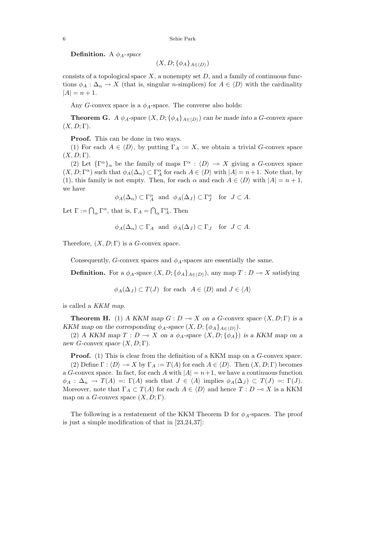**Definition.** A *φA*-*space*

 $(X, D; {\phi_A}_{A \in (D)})$ 

consists of a topological space *X*, a nonempty set *D*, and a family of continuous functions  $\phi_A : \Delta_n \to X$  (that is, singular *n*-simplices) for  $A \in \langle D \rangle$  with the cardinality  $|A| = n + 1.$ 

Any *G*-convex space is a  $\phi_A$ -space. The converse also holds:

**Theorem G.** *A*  $\phi_A$ -space  $(X, D; {\phi_A}_{A \in \langle D \rangle})$  can be made into a *G*-convex space  $(X, D; \Gamma)$ .

**Proof.** This can be done in two ways.

(1) For each  $A \in \langle D \rangle$ , by putting  $\Gamma_A := X$ , we obtain a trivial *G*-convex space  $(X, D; \Gamma)$ .

(2) Let  ${\lbrace \Gamma^{\alpha} \rbrace_{\alpha}}$  be the family of maps  $\Gamma^{\alpha} : \langle D \rangle \to X$  giving a *G*-convex space  $(X, D; \Gamma^{\alpha})$  such that  $\phi_A(\Delta_n) \subset \Gamma^{\alpha}_A$  for each  $A \in \langle D \rangle$  with  $|A| = n + 1$ . Note that, by (1), this family is not empty. Then, for each  $\alpha$  and each  $A \in \langle D \rangle$  with  $|A| = n + 1$ , we have

$$
\phi_A(\Delta_n) \subset \Gamma_A^{\alpha}
$$
 and  $\phi_A(\Delta_J) \subset \Gamma_J^{\alpha}$  for  $J \subset A$ .

Let  $\Gamma := \bigcap_{\alpha} \Gamma^{\alpha}$ , that is,  $\Gamma_A = \bigcap_{\alpha} \Gamma^{\alpha}_A$ . Then

$$
\phi_A(\Delta_n) \subset \Gamma_A
$$
 and  $\phi_A(\Delta_J) \subset \Gamma_J$  for  $J \subset A$ .

Therefore,  $(X, D; \Gamma)$  is a *G*-convex space.

Consequently, *G*-convex spaces and  $\phi_A$ -spaces are essentially the same.

**Definition.** For a  $\phi_A$ -space  $(X, D; {\phi_A}_{A \in (D)})$ , any map  $T: D \to X$  satisfying

 $\phi_A(\Delta_J) \subset T(J)$  for each  $A \in \langle D \rangle$  and  $J \in \langle A \rangle$ 

is called a *KKM map*.

**Theorem H.** (1) *A KKM map*  $G: D \to X$  *on a G*-convex space  $(X, D; \Gamma)$  *is a KKM* map on the corresponding  $\phi_A$ -space  $(X, D; {\phi_A}_{A \in (D)})$ .

(2) *A KKM map*  $T: D \to X$  *on a*  $\phi_A$ -space  $(X, D; {\phi_A})$  *is a KKM map on a new G*-convex space  $(X, D; \Gamma)$ *.* 

**Proof.** (1) This is clear from the definition of a KKM map on a *G*-convex space. (2) Define  $\Gamma : \langle D \rangle \to X$  by  $\Gamma_A := T(A)$  for each  $A \in \langle D \rangle$ . Then  $(X, D; \Gamma)$  becomes a *G*-convex space. In fact, for each *A* with  $|A| = n+1$ , we have a continuous function  $\phi_A : \Delta_n \to T(A) =: \Gamma(A)$  such that  $J \in \langle A \rangle$  implies  $\phi_A(\Delta_J) \subset T(J) =: \Gamma(J)$ . Moreover, note that  $\Gamma_A \subset T(A)$  for each  $A \in \langle D \rangle$  and hence  $T : D \to X$  is a KKM map on a *G*-convex space  $(X, D; \Gamma)$ .

The following is a restatement of the KKM Theorem D for *φA*-spaces. The proof is just a simple modification of that in [23,24,37]: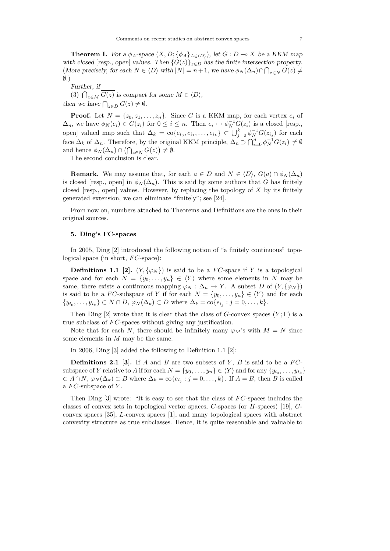**Theorem I.** *For a*  $\phi_A$ -space  $(X, D; {\phi_A}_{A \in (D)})$ *, let*  $G: D \to X$  *be a KKM map with closed* [*resp., open*] *values.* Then  $\{G(z)\}_{z \in D}$  *has the finite intersection property.*  $(More \text{ precisely, for each } N \in \langle D \rangle \text{ with } |N| = n+1$ , we have  $\phi_N(\Delta_n) \cap \bigcap_{z \in N} G(z) \neq 0$ ∅*.*)

*Further, if* (3)  $\bigcap_{z \in M} \overline{G(z)}$  *is compact for some*  $M \in \langle D \rangle$ *, then we have*  $\bigcap_{z \in D} \overline{G(z)} \neq \emptyset$ *.* 

**Proof.** Let  $N = \{z_0, z_1, \ldots, z_n\}$ . Since G is a KKM map, for each vertex  $e_i$  of  $\Delta_n$ , we have  $\phi_N(e_i) \in G(z_i)$  for  $0 \leq i \leq n$ . Then  $e_i \mapsto \phi_N^{-1}G(z_i)$  is a closed [resp., open] valued map such that  $\Delta_k = \text{co}\{e_{i_0}, e_{i_1}, \ldots, e_{i_k}\} \subset \bigcup_{j=0}^k \phi_N^{-1} G(z_{i_j})$  for each face  $\Delta_k$  of  $\Delta_n$ . Therefore, by the original KKM principle,  $\Delta_n \supset \bigcap_{i=0}^n \phi_N^{-1} G(z_i) \neq \emptyset$ and hence  $\phi_N(\Delta_n) \cap \left(\bigcap_{z \in N} G(z)\right) \neq \emptyset$ .

The second conclusion is clear.

**Remark.** We may assume that, for each  $a \in D$  and  $N \in \langle D \rangle$ ,  $G(a) \cap \phi_N(\Delta_n)$ is closed [resp., open] in  $\phi_N(\Delta_n)$ . This is said by some authors that *G* has finitely closed [resp., open] values. However, by replacing the topology of *X* by its finitely generated extension, we can eliminate "finitely"; see [24].

From now on, numbers attached to Theorems and Definitions are the ones in their original sources.

### **5. Ding's FC-spaces**

In 2005, Ding [2] introduced the following notion of "a finitely continuous" topological space (in short,  $FC$ -space):

**Definitions 1.1 [2].**  $(Y, \{\varphi_N\})$  is said to be a *FC*-space if *Y* is a topological space and for each  $N = \{y_0, \ldots, y_n\} \in \langle Y \rangle$  where some elements in *N* may be same, there exists a continuous mapping  $\varphi_N : \Delta_n \to Y$ . A subset *D* of  $(Y, \{\varphi_N\})$ is said to be a *FC*-subspace of *Y* if for each  $N = \{y_0, \ldots, y_n\} \in \langle Y \rangle$  and for each {*y*<sub>*i*0</sub>,...,*y*<sub>*i*k</sub>} ⊂ *N* ∩ *D*,  $\varphi_N(\Delta_k)$  ⊂ *D* where  $\Delta_k = \text{co}\{e_{i_j} : j = 0, ..., k\}.$ 

Then Ding [2] wrote that it is clear that the class of *G*-convex spaces  $(Y; \Gamma)$  is a true subclass of *FC*-spaces without giving any justification.

Note that for each *N*, there should be infinitely many  $\varphi_M$ 's with  $M = N$  since some elements in *M* may be the same.

In 2006, Ding [3] added the following to Definition 1.1 [2]:

**Definitions 2.1 [3].** If *A* and *B* are two subsets of *Y*, *B* is said to be a *FC*subspace of *Y* relative to *A* if for each  $N = \{y_0, \ldots, y_n\} \in \langle Y \rangle$  and for any  $\{y_{i_0}, \ldots, y_{i_k}\}$  $\subset A \cap N$ ,  $\varphi_N(\Delta_k) \subset B$  where  $\Delta_k = \text{co}\{e_{i_j} : j = 0, \ldots, k\}$ . If  $A = B$ , then *B* is called a *F C*-subspace of *Y* .

Then Ding [3] wrote: "It is easy to see that the class of  $FC$ -spaces includes the classes of convex sets in topological vector spaces, *C*-spaces (or *H*-spaces) [19], *G*convex spaces [35], *L*-convex spaces [1], and many topological spaces with abstract convexity structure as true subclasses. Hence, it is quite reasonable and valuable to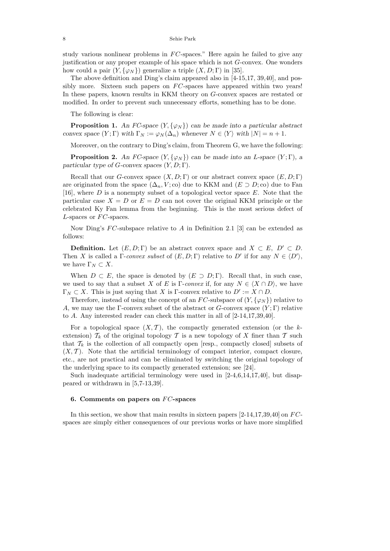study various nonlinear problems in *F C*-spaces." Here again he failed to give any justification or any proper example of his space which is not *G*-convex. One wonders how could a pair  $(Y, \{\varphi_N\})$  generalize a triple  $(X, D; \Gamma)$  in [35].

The above definition and Ding's claim appeared also in  $[4-15,17, 39,40]$ , and possibly more. Sixteen such papers on *FC*-spaces have appeared within two years! In these papers, known results in KKM theory on *G*-convex spaces are restated or modified. In order to prevent such unnecessary efforts, something has to be done.

The following is clear:

**Proposition 1.** An *FC*-space  $(Y, \{\varphi_N\})$  can be made into a particular abstract *convex space*  $(Y; \Gamma)$  *with*  $\Gamma_N := \varphi_N(\Delta_n)$  *whenever*  $N \in \langle Y \rangle$  *with*  $|N| = n + 1$ *.* 

Moreover, on the contrary to Ding's claim, from Theorem G, we have the following:

**Proposition 2.** An FC-space  $(Y, \{\varphi_N\})$  can be made into an *L*-space  $(Y; \Gamma)$ *, a particular type of G-convex spaces* (*Y,D*; Γ)*.*

Recall that our *G*-convex space  $(X, D; \Gamma)$  or our abstract convex space  $(E, D; \Gamma)$ are originated from the space  $(\Delta_n, V; \text{co})$  due to KKM and  $(E \supset D; \text{co})$  due to Fan [16], where *D* is a nonempty subset of a topological vector space *E*. Note that the particular case  $X = D$  or  $E = D$  can not cover the original KKM principle or the celebrated Ky Fan lemma from the beginning. This is the most serious defect of *L*-spaces or *FC*-spaces.

Now Ding's *FC*-subspace relative to *A* in Definition 2.1 [3] can be extended as follows:

**Definition.** Let  $(E, D; \Gamma)$  be an abstract convex space and  $X \subset E$ ,  $D' \subset D$ . Then *X* is called a Γ-*convex subset* of  $(E, D; \Gamma)$  relative to *D'* if for any  $N \in \langle D' \rangle$ , we have  $\Gamma_N \subset X$ .

When  $D \subset E$ , the space is denoted by  $(E \supset D; \Gamma)$ . Recall that, in such case, we used to say that a subset *X* of *E* is Γ-*convex* if, for any  $N \in \langle X \cap D \rangle$ , we have  $\Gamma_N \subset X$ . This is just saying that *X* is Γ-convex relative to  $D' := X \cap D$ .

Therefore, instead of using the concept of an  $FC$ -subspace of  $(Y, \{\varphi_N\})$  relative to *A*, we may use the Γ-convex subset of the abstract or *G*-convex space (*Y* ; Γ) relative to *A*. Any interested reader can check this matter in all of [2-14,17,39,40].

For a topological space  $(X, \mathcal{T})$ , the compactly generated extension (or the kextension)  $\mathcal{T}_k$  of the original topology  $\mathcal T$  is a new topology of X finer than  $\mathcal T$  such that  $\mathcal{T}_k$  is the collection of all compactly open [resp., compactly closed] subsets of  $(X, \mathcal{T})$ . Note that the artificial terminology of compact interior, compact closure, etc., are not practical and can be eliminated by switching the original topology of the underlying space to its compactly generated extension; see [24].

Such inadequate artificial terminology were used in [2-4,6,14,17,40], but disappeared or withdrawn in [5,7-13,39].

### **6. Comments on papers on** *F C***-spaces**

In this section, we show that main results in sixteen papers [2-14,17,39,40] on *F C*spaces are simply either consequences of our previous works or have more simplified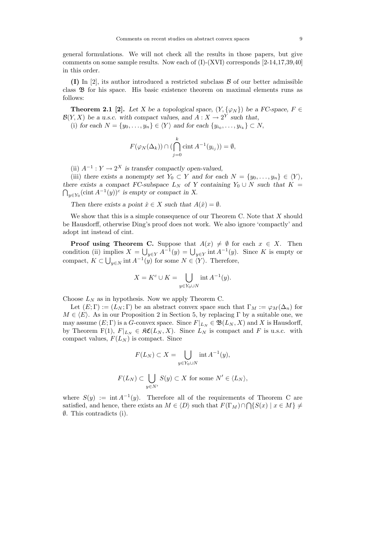general formulations. We will not check all the results in those papers, but give comments on some sample results. Now each of  $(I)$ - $(XVI)$  corresponds  $[2-14,17,39,40]$ in this order.

**(I)** In [2], its author introduced a restricted subclass B of our better admissible class B for his space. His basic existence theorem on maximal elements runs as follows:

**Theorem 2.1** [2]. Let X be a topological space,  $(Y, \{\varphi_N\})$  be a FC-space,  $F \in$  $\mathcal{B}(Y, X)$  be a u.s.c. with compact values, and  $A: X \to 2^Y$  such that,

(i) *for each*  $N = \{y_0, \ldots, y_n\} \in \langle Y \rangle$  *and for each*  $\{y_{i_0}, \ldots, y_{i_k}\} \subset N$ ,

$$
F(\varphi_N(\Delta_k)) \cap (\bigcap_{j=0}^k \operatorname{cint} A^{-1}(y_{i_j})) = \emptyset,
$$

(ii)  $A^{-1}: Y \to 2^X$  *is transfer compactly open-valued,* 

(iii) *there exists a nonempty set*  $Y_0 \subset Y$  *and for each*  $N = \{y_0, \ldots, y_n\} \in \langle Y \rangle$ , *there exists a compact FC-subspace*  $L_N$  *of Y containing*  $Y_0 \cup N$  *such that*  $K =$  $\bigcap_{y \in Y_0} (\text{cint } A^{-1}(y))^c$  *is empty or compact in X.* 

*Then there exists a point*  $\hat{x} \in X$  *such that*  $A(\hat{x}) = \emptyset$ *.* 

We show that this is a simple consequence of our Theorem C. Note that *X* should be Hausdorff, otherwise Ding's proof does not work. We also ignore 'compactly' and adopt int instead of cint.

**Proof using Theorem C.** Suppose that  $A(x) \neq \emptyset$  for each  $x \in X$ . Then condition (ii) implies  $X = \bigcup_{y \in Y} A^{-1}(y) = \bigcup_{y \in Y} \text{int} A^{-1}(y)$ . Since K is empty or compact,  $K \subset \bigcup_{y \in N} \text{int } A^{-1}(y)$  for some  $N \in \langle Y \rangle$ . Therefore,

$$
X = K^c \cup K = \bigcup_{y \in Y_0 \cup N} \text{int } A^{-1}(y).
$$

Choose  $L_N$  as in hypothesis. Now we apply Theorem C.

Let  $(E;\Gamma) := (L_N;\Gamma)$  be an abstract convex space such that  $\Gamma_M := \varphi_M(\Delta_n)$  for  $M \in \langle E \rangle$ . As in our Proposition 2 in Section 5, by replacing  $\Gamma$  by a suitable one, we may assume  $(E; \Gamma)$  is a *G*-convex space. Since  $F|_{L_N} \in \mathfrak{B}(L_N, X)$  and X is Hausdorff, by Theorem  $F(1)$ ,  $F|_{L_N} \in \mathfrak{RC}(L_N, X)$ . Since  $L_N$  is compact and F is u.s.c. with compact values,  $F(L_N)$  is compact. Since

$$
F(L_N) \subset X = \bigcup_{y \in Y_0 \cup N} \operatorname{int} A^{-1}(y),
$$

$$
F(L_N) \subset \bigcup_{y \in N'} S(y) \subset X \text{ for some } N' \in \langle L_N \rangle,
$$

where  $S(y) := \text{int } A^{-1}(y)$ . Therefore all of the requirements of Theorem C are satisfied, and hence, there exists an  $M \in \langle D \rangle$  such that  $F(\Gamma_M) \cap \bigcap \{S(x) \mid x \in M\} \neq$ ∅. This contradicts (i).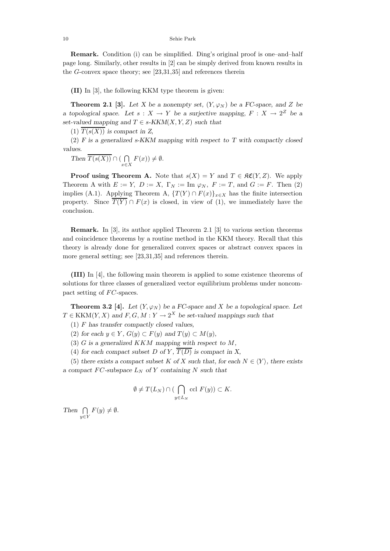#### 10 Sehie Park

**Remark.** Condition (i) can be simplified. Ding's original proof is one–and–half page long. Similarly, other results in [2] can be simply derived from known results in the *G*-convex space theory; see [23,31,35] and references therein

**(II)** In [3], the following KKM type theorem is given:

**Theorem 2.1 [3].** *Let X be a nonempty set,*  $(Y, \varphi_N)$  *be a FC-space, and Z be a* topological space. Let  $s: X \to Y$  be a surjective mapping,  $F: X \to 2^Z$  be a *set-valued mapping and*  $T \in s$ *-KKM*(*X,Y,Z*) *such that* 

 $\overline{T(s(X))}$  *is compact in Z,* 

(2) *F is a generalized s-KKM mapping with respect to T with compactly closed values.*

Then 
$$
\overline{T(s(X))} \cap (\bigcap_{x \in X} F(x)) \neq \emptyset
$$
.

**Proof using Theorem A.** Note that  $s(X) = Y$  and  $T \in \mathcal{RC}(Y, Z)$ . We apply Theorem A with  $E := Y$ ,  $D := X$ ,  $\Gamma_N := \text{Im } \varphi_N$ ,  $F := T$ , and  $G := F$ . Then (2) implies (A.1). Applying Theorem A,  $\{T(Y) \cap F(x)\}_{x \in X}$  has the finite intersection property. Since  $\overline{T(Y)} \cap F(x)$  is closed, in view of (1), we immediately have the conclusion.

**Remark.** In [3], its author applied Theorem 2.1 [3] to various section theorems and coincidence theorems by a routine method in the KKM theory. Recall that this theory is already done for generalized convex spaces or abstract convex spaces in more general setting; see [23,31,35] and references therein.

**(III)** In [4], the following main theorem is applied to some existence theorems of solutions for three classes of generalized vector equilibrium problems under noncompact setting of *FC*-spaces.

**Theorem 3.2** [4]. Let  $(Y, \varphi_N)$  be a FC-space and X be a topological space. Let  $T \in KKM(Y, X)$  *and*  $F, G, M: Y \to 2^X$  *be set-valued mappings such that* 

(1) *F has transfer compactly closed values,*

(2) for each  $y \in Y$ ,  $G(y) \subset F(y)$  and  $T(y) \subset M(y)$ ,

(3) *G is a generalized KKM mapping with respect to M,*

(4) for each compact subset *D* of *Y*,  $\overline{T(D)}$  is compact in *X*,

(5) there exists a compact subset K of X such that, for each  $N \in \langle Y \rangle$ , there exists *a* compact  $FC$ -subspace  $L_N$  of Y containing N such that

$$
\emptyset \neq T(L_N) \cap (\bigcap_{y \in L_N} \text{ccl } F(y)) \subset K.
$$

 $Then \cap$ *y*∈*Y*  $F(y) \neq \emptyset$ .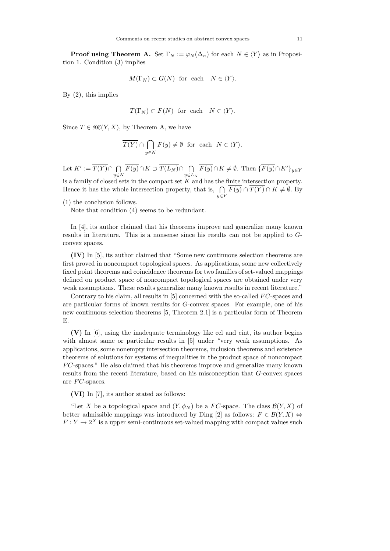**Proof using Theorem A.** Set  $\Gamma_N := \varphi_N(\Delta_n)$  for each  $N \in \langle Y \rangle$  as in Proposition 1. Condition (3) implies

$$
M(\Gamma_N) \subset G(N) \text{ for each } N \in \langle Y \rangle.
$$

By (2), this implies

$$
T(\Gamma_N) \subset F(N)
$$
 for each  $N \in \langle Y \rangle$ .

Since  $T \in \mathfrak{RC}(Y,X)$ , by Theorem A, we have

$$
\overline{T(Y)} \cap \bigcap_{y \in N} F(y) \neq \emptyset \text{ for each } N \in \langle Y \rangle.
$$

Let  $K' := \overline{T(Y)} \cap \bigcap$  $\prod_{y \in N}$   $\overline{F(y)} \cap K \supset \overline{T(L_N)} \cap \bigcap_{y \in L_N}$ *F*(*y*)∩*K*  $\neq$  Ø. Then {*F*(*y*)∩*K*<sup>'</sup>}<sub>*y*∈*Y*</sub> is a family of closed sets in the compact set  $K$  and has the finite intersection property. Hence it has the whole intersection property, that is,  $\bigcap \overline{F(y)} \cap \overline{T(Y)} \cap K \neq \emptyset$ . By

*y*∈*Y*

(1) the conclusion follows.

Note that condition (4) seems to be redundant.

In [4], its author claimed that his theorems improve and generalize many known results in literature. This is a nonsense since his results can not be applied to *G*convex spaces.

**(IV)** In [5], its author claimed that "Some new continuous selection theorems are first proved in noncompact topological spaces. As applications, some new collectively fixed point theorems and coincidence theorems for two families of set-valued mappings defined on product space of noncompact topological spaces are obtained under very weak assumptions. These results generalize many known results in recent literature."

Contrary to his claim, all results in [5] concerned with the so-called *F C*-spaces and are particular forms of known results for *G*-convex spaces. For example, one of his new continuous selection theorems [5, Theorem 2.1] is a particular form of Theorem E.

**(V)** In [6], using the inadequate terminology like ccl and cint, its author begins with almost same or particular results in [5] under "very weak assumptions. As applications, some nonempty intersection theorems, inclusion theorems and existence theorems of solutions for systems of inequalities in the product space of noncompact *F C*-spaces." He also claimed that his theorems improve and generalize many known results from the recent literature, based on his misconception that *G*-convex spaces are *F C*-spaces.

**(VI)** In [7], its author stated as follows:

"Let X be a topological space and  $(Y, \phi_N)$  be a *FC*-space. The class  $\mathcal{B}(Y, X)$  of better admissible mappings was introduced by Ding [2] as follows:  $F \in \mathcal{B}(Y,X) \Leftrightarrow$  $F: Y \to 2^X$  is a upper semi-continuous set-valued mapping with compact values such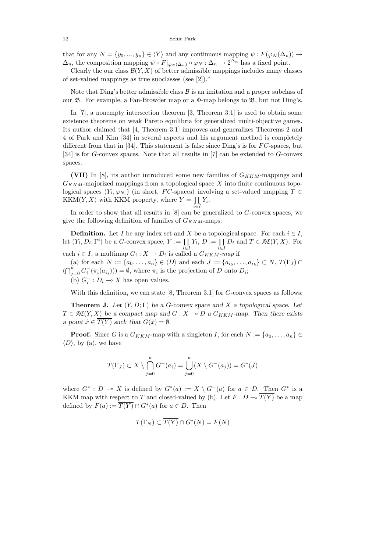that for any  $N = \{y_0, ..., y_n\} \in \langle Y \rangle$  and any continuous mapping  $\psi : F(\varphi_N(\Delta_n)) \to$  $\Delta_n$ , the composition mapping  $\psi \circ F|_{\varphi_N(\Delta_n)} \circ \varphi_N : \Delta_n \to 2^{\Delta_n}$  has a fixed point.

Clearly the our class  $\mathcal{B}(Y, X)$  of better admissible mappings includes many classes of set-valued mappings as true subclasses (see [2])."

Note that Ding's better admissible class  $\beta$  is an imitation and a proper subclass of our  $\mathfrak{B}$ . For example, a Fan-Browder map or a  $\Phi$ -map belongs to  $\mathfrak{B}$ , but not Ding's.

In [7], a nonempty intersection theorem [3, Theorem 3.1] is used to obtain some existence theorems on weak Pareto equilibria for generalized multi-objective games. Its author claimed that [4, Theorem 3.1] improves and generalizes Theorems 2 and 4 of Park and Kim [34] in several aspects and his argument method is completely different from that in [34]. This statement is false since Ding's is for *F C*-spaces, but [34] is for *G*-convex spaces. Note that all results in [7] can be extended to *G*-convex spaces.

**(VII)** In [8], its author introduced some new families of *GKKM*-mappings and *GKKM*-majorized mappings from a topological space *X* into finite continuous topological spaces  $(Y_i, \varphi_{N_i})$  (in short, *FC*-spaces) involving a set-valued mapping  $T \in$  $KKM(Y, X)$  with KKM property, where  $Y = \prod$  $\prod_{i\in I} Y_i$ *.* 

In order to show that all results in [8] can be generalized to *G*-convex spaces, we give the following definition of families of *GKKM*-maps:

**Definition.** Let *I* be any index set and *X* be a topological space. For each  $i \in I$ , let  $(Y_i, D_i; \Gamma^i)$  be a *G*-convex space,  $Y := \prod Y_i, D := \prod D_i$  and  $T \in \mathfrak{RC}(Y, X)$ . For  $i ∈ I$ , a multimap  $G_i : X \to D_i$  is called a  $G_{KKM}$ -*map* if

(a) for each  $N := \{a_0, \ldots, a_n\} \in \langle D \rangle$  and each  $J := \{a_{i_0}, \ldots, a_{i_k}\} \subset N$ ,  $T(\Gamma_J) \cap$  $(\bigcap_{j=0}^{k} G_i^{-}(\pi_i(a_{i_j}))) = \emptyset$ , where  $\pi_i$  is the projection of *D* onto  $D_i$ ;

(b)  $G_i^-: D_i \longrightarrow X$  has open values.

With this definition, we can state [8, Theorem 3.1] for *G*-convex spaces as follows:

**Theorem J.** *Let* (*Y,D*; Γ) *be a G-convex space and X a topological space. Let T* ∈  $\mathfrak{RC}(Y,X)$  *be a compact map and G* : *X* → *D a G*<sub>*KKM*</sub>-map. Then there exists *a* point  $\hat{x} \in \overline{T(Y)}$  such that  $G(\hat{x}) = \emptyset$ .

**Proof.** Since *G* is a  $G_{KKM}$ -map with a singleton *I*, for each  $N := \{a_0, \ldots, a_n\} \in$  $\langle D \rangle$ , by (a), we have

$$
T(\Gamma_J) \subset X \setminus \bigcap_{j=0}^k G^-(a_i) = \bigcup_{j=0}^k (X \setminus G^-(a_j)) = G^*(J)
$$

where  $G^* : D \multimap X$  is defined by  $G^*(a) := X \setminus G^-(a)$  for  $a \in D$ . Then  $G^*$  is a KKM map with respect to *T* and closed-valued by (b). Let  $F: D \to \overline{T(Y)}$  be a map defined by  $F(a) := \overline{T(Y)} \cap G^*(a)$  for  $a \in D$ . Then

$$
T(\Gamma_N) \subset \overline{T(Y)} \cap G^*(N) = F(N)
$$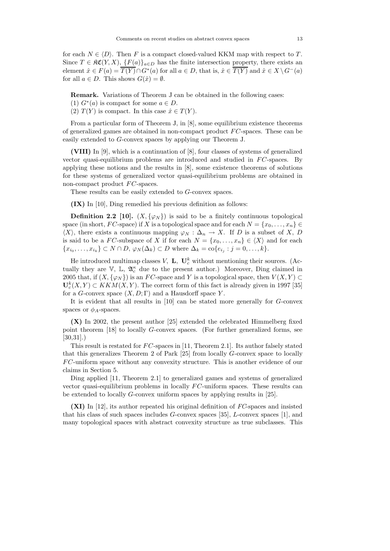for each  $N \in \langle D \rangle$ . Then *F* is a compact closed-valued KKM map with respect to *T*. Since  $T \in \mathcal{RC}(Y,X)$ ,  $\{F(a)\}_{a \in D}$  has the finite intersection property, there exists an element  $\hat{x} \in F(a) = \overline{T(Y)} \cap G^*(a)$  for all  $a \in D$ , that is,  $\hat{x} \in \overline{T(Y)}$  and  $\hat{x} \in X \setminus G^-(a)$ for all  $a \in D$ . This shows  $G(\hat{x}) = \emptyset$ .

**Remark.** Variations of Theorem J can be obtained in the following cases:

- (1)  $G^*(a)$  is compact for some  $a \in D$ .
- $(T(Y)$  is compact. In this case  $\hat{x} \in T(Y)$ .

From a particular form of Theorem J, in [8], some equilibrium existence theorems of generalized games are obtained in non-compact product *F C*-spaces. These can be easily extended to *G*-convex spaces by applying our Theorem J.

**(VIII)** In [9], which is a continuation of [8], four classes of systems of generalized vector quasi-equilibrium problems are introduced and studied in *F C*-spaces. By applying these notions and the results in [8], some existence theorems of solutions for these systems of generalized vector quasi-equilibrium problems are obtained in non-compact product *FC*-spaces.

These results can be easily extended to *G*-convex spaces.

**(IX)** In [10], Ding remedied his previous definition as follows:

**Definition 2.2** [10].  $(X, \{\varphi_N\})$  is said to be a finitely continuous topological space (in short, *FC*-space) if *X* is a topological space and for each  $N = \{x_0, \ldots, x_n\}$  $\langle X \rangle$ , there exists a continuous mapping  $\varphi_N : \Delta_n \to X$ . If *D* is a subset of *X*, *D* is said to be a *FC*-subspace of *X* if for each  $N = \{x_0, \ldots, x_n\} \in \langle X \rangle$  and for each { $x_{i_0},...,x_{i_k}$ } ⊂ *N* ∩ *D*,  $\varphi_N(\Delta_k)$  ⊂ *D* where  $\Delta_k = \text{co}\{e_{i_j} : j = 0,...,k\}.$ 

He introduced multimap classes *V*, **L**,  $\mathbf{U}_c^k$  without mentioning their sources. (Actually they are  $\mathbb{V}$ ,  $\mathbb{L}$ ,  $\mathfrak{A}_{c}^{\kappa}$  due to the present author.) Moreover, Ding claimed in 2005 that, if  $(X, \{\varphi_N\})$  is an *FC*-space and *Y* is a topological space, then  $V(X, Y) \subset$  $\mathbf{U}_{c}^{k}(X, Y) \subset KKM(X, Y)$ . The correct form of this fact is already given in 1997 [35] for a *G*-convex space  $(X, D; \Gamma)$  and a Hausdorff space *Y*.

It is evident that all results in [10] can be stated more generally for *G*-convex spaces or  $\phi_A$ -spaces.

**(X)** In 2002, the present author [25] extended the celebrated Himmelberg fixed point theorem [18] to locally *G*-convex spaces. (For further generalized forms, see [30,31].)

This result is restated for *FC*-spaces in [11, Theorem 2.1]. Its author falsely stated that this generalizes Theorem 2 of Park [25] from locally *G*-convex space to locally *F C*-uniform space without any convexity structure. This is another evidence of our claims in Section 5.

Ding applied [11, Theorem 2.1] to generalized games and systems of generalized vector quasi-equilibrium problems in locally *F C*-uniform spaces. These results can be extended to locally *G*-convex uniform spaces by applying results in [25].

**(XI)** In [12], its author repeated his original definition of *FC*-spaces and insisted that his class of such spaces includes *G*-convex spaces [35], *L*-convex spaces [1], and many topological spaces with abstract convexity structure as true subclasses. This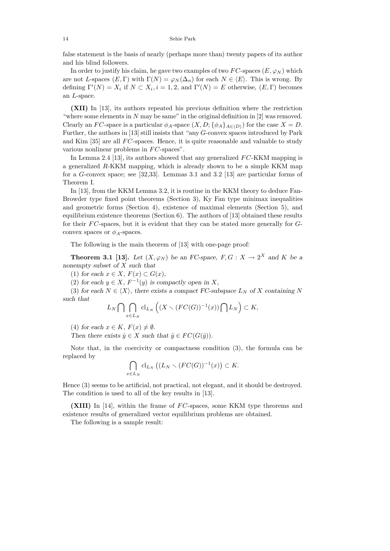#### 14 Sehie Park

false statement is the basis of nearly (perhaps more than) twenty papers of its author and his blind followers.

In order to justify his claim, he gave two examples of two  $FC$ -spaces  $(E, \varphi_N)$  which are not *L*-spaces  $(E, \Gamma)$  with  $\Gamma(N) = \varphi_N(\Delta_n)$  for each  $N \in \langle E \rangle$ . This is wrong. By defining  $\Gamma'(N) = X_i$  if  $N \subset X_i$ ,  $i = 1, 2$ , and  $\Gamma'(N) = E$  otherwise,  $(E, \Gamma)$  becomes an *L*-space.

**(XII)** In [13], its authors repeated his previous definition where the restriction "where some elements in *N* may be same" in the original definition in [2] was removed. Clearly an *FC*-space is a particular  $\phi_A$ -space  $(X, D; {\phi_A}_{A \in (D)})$  for the case  $X = D$ . Further, the authors in [13] still insists that "any *G*-convex spaces introduced by Park and Kim [35] are all *F C*-spaces. Hence, it is quite reasonable and valuable to study various nonlinear problems in *FC*-spaces".

In Lemma 2.4 [13], its authors showed that any generalized *F C*-KKM mapping is a generalized *R*-KKM mapping, which is already shown to be a simple KKM map for a *G*-convex space; see [32,33]. Lemmas 3.1 and 3.2 [13] are particular forms of Theorem I.

In [13], from the KKM Lemma 3.2, it is routine in the KKM theory to deduce Fan-Browder type fixed point theorems (Section 3), Ky Fan type minimax inequalities and geometric forms (Section 4), existence of maximal elements (Section 5), and equilibrium existence theorems (Section 6). The authors of  $[13]$  obtained these results for their *F C*-spaces, but it is evident that they can be stated more generally for *G*convex spaces or  $\phi_A$ -spaces.

The following is the main theorem of [13] with one-page proof:

**Theorem 3.1 [13].** *Let*  $(X, \varphi_N)$  *be an FC-space,*  $F, G: X \to 2^X$  *and*  $K$  *be a nonempty subset of X such that*

(1) *for each*  $x \in X$ *,*  $F(x) \subset G(x)$ *,* 

(2) for each  $y \in X$ ,  $F^{-1}(y)$  is compactly open in X,

(3) for each  $N \in \langle X \rangle$ , there exists a compact FC-subspace  $L_N$  of X containing N *such that*

$$
L_N\bigcap\bigcap_{x\in L_N}\text{cl}_{L_N}\left((X\smallsetminus (FC(G))^{-1}(x))\bigcap L_N\right)\subset K,
$$

(4) for each  $x \in K$ ,  $F(x) \neq \emptyset$ .

*Then there exists*  $\hat{y} \in X$  *such that*  $\hat{y} \in FC(G(\hat{y}))$ *.* 

Note that, in the coercivity or compactness condition (3), the formula can be replaced by

$$
\bigcap_{x\in L_N} \text{cl}_{L_N} \left( (L_N \setminus (FC(G))^{-1}(x) \right) \subset K.
$$

Hence (3) seems to be artificial, not practical, not elegant, and it should be destroyed. The condition is used to all of the key results in [13].

**(XIII)** In [14], within the frame of *F C*-spaces, some KKM type theorems and existence results of generalized vector equilibrium problems are obtained.

The following is a sample result: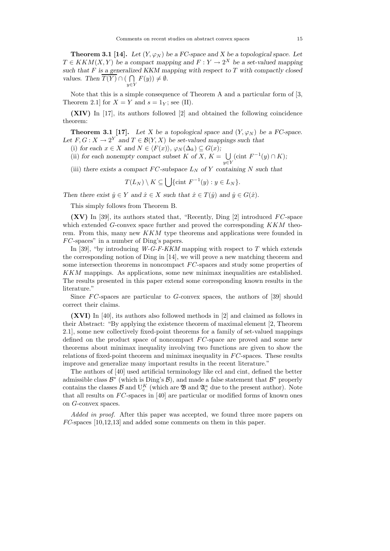**Theorem 3.1 [14].** Let  $(Y, \varphi_N)$  be a FC-space and X be a topological space. Let  $T \in KKM(X, Y)$  *be a compact mapping and*  $F: Y \to 2^X$  *be a set-valued mapping such that F is a generalized KKM mapping with respect to T with compactly closed values.* Then  $\overline{T(Y)} \cap (\bigcap F(y)) \neq \emptyset$ . *y*∈*Y*

Note that this is a simple consequence of Theorem A and a particular form of [3, Theorem 2.1 for  $X = Y$  and  $s = 1<sub>Y</sub>$ ; see (II).

**(XIV)** In [17], its authors followed [2] and obtained the following coincidence theorem:

**Theorem 3.1 [17].** Let X be a topological space and  $(Y, \varphi_N)$  be a FC-space. Let  $F, G: X \to 2^Y$  and  $T \in \mathcal{B}(Y, X)$  be set-valued mappings such that

(i) for each  $x \in X$  and  $N \in \langle F(x) \rangle$ ,  $\varphi_N(\Delta_k) \subseteq G(x)$ ;

(ii) for each nonempty compact subset  $K$  of  $\overline{X}$ ,  $K = \bigcup$ *y*∈*Y*  $(cint F^{-1}(y) ∩ K);$ 

(iii) *there exists a compact*  $FC$ -subspace  $L_N$  of Y *containing* N such that

$$
T(L_N) \setminus K \subseteq \bigcup \{\text{cint } F^{-1}(y) : y \in L_N \}.
$$

*Then there exist*  $\hat{y} \in Y$  *and*  $\hat{x} \in X$  *such that*  $\hat{x} \in T(\hat{y})$  *and*  $\hat{y} \in G(\hat{x})$ *.* 

This simply follows from Theorem B.

**(XV)** In [39], its authors stated that, "Recently, Ding [2] introduced *F C*-space which extended *G*-convex space further and proved the corresponding *KKM* theorem. From this, many new *KKM* type theorems and applications were founded in *F C*-spaces" in a number of Ding's papers.

In [39], "by introducing *W-G-F-KKM* mapping with respect to *T* which extends the corresponding notion of Ding in [14], we will prove a new matching theorem and some intersection theorems in noncompact *F C*-spaces and study some properties of *KKM* mappings. As applications, some new minimax inequalities are established. The results presented in this paper extend some corresponding known results in the literature."

Since *FC*-spaces are particular to *G*-convex spaces, the authors of [39] should correct their claims.

**(XVI)** In [40], its authors also followed methods in [2] and claimed as follows in their Abstract: "By applying the existence theorem of maximal element [2, Theorem 2.1], some new collectively fixed-point theorems for a family of set-valued mappings defined on the product space of noncompact *F C*-space are proved and some new theorems about minimax inequality involving two functions are given to show the relations of fixed-point theorem and minimax inequality in *F C*-spaces. These results improve and generalize many important results in the recent literature."

The authors of [40] used artificial terminology like ccl and cint, defined the better admissible class  $\mathcal{B}^*$  (which is Ding's  $\mathcal{B}$ ), and made a false statement that  $\mathcal{B}^*$  properly contains the classes  $\mathcal{B}$  and  $U_c^K$  (which are  $\mathfrak{B}$  and  $\mathfrak{A}^{\kappa}_c$  due to the present author). Note that all results on *F C*-spaces in [40] are particular or modified forms of known ones on *G*-convex spaces.

*Added in proof.* After this paper was accepted, we found three more papers on *FC*-spaces [10,12,13] and added some comments on them in this paper.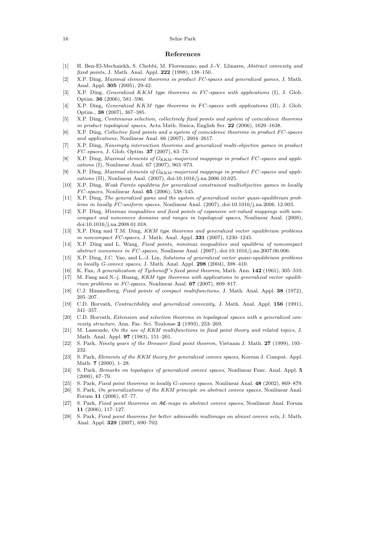#### 16 Sehie Park

### **References**

- [1] H. Ben-El-Mechaiekh, S. Chebbi, M. Florenzano, and J.-V. Llinares, *Abstract convexity and fixed points*, J. Math. Anal. Appl. **222** (1998), 138–150.
- [2] X.P. Ding, *Maximal element theorems in product FC-spaces and generalized games*, J. Math. Anal. Appl. **305** (2005), 29-42.
- [3] X.P. Ding, *Generalized KKM type theorems in FC-spaces with applications* (I), J. Glob. Optim. **36** (2006), 581–596.
- [4] X.P. Ding, *Generalized KKM type theorems in FC-spaces with applications* (II), J. Glob. Optim., **38** (2007), 367–385.
- [5] X.P. Ding, *Continuous selection, collectively fixed points and system of coincidence theorems in product topological spaces*, Acta Math. Sinica, English Ser. **22** (2006), 1629–1638.
- [6] X.P. Ding, *Collective fixed points and a system of coincidence theorems in product*  $FC$ -spaces *and applications*, Nonlinear Anal. 66 (2007), 2604–2617.
- [7] X.P. Ding, *Nonempty intersection theorems and generalized multi-objective games in product* F C*-spaces*, J. Glob. Optim. **37** (2007), 63–73.
- [8] X.P. Ding, *Maximal elements of*  $G_{\text{KKM}}$ -majorized mappings in product FC-spaces and appli*cations* (I), Nonlinear Anal. 67 (2007), 963–973.
- [9] X.P. Ding, *Maximal elements of*  $G_{\text{KKM}}$ -majorized mappings in product FC-spaces and appli*cations* (II), Nonlinear Anal. (2007), doi:10.1016/j.na.2006.10.025.
- [10] X.P. Ding, *Weak Pareto equilibria for generalized constrained multiobjective games in locally* F C*-spaces*, Nonlinear Anal. **65** (2006), 538–545.
- [11] X.P. Ding, *The generalized game and the system of generalized vector quasi-equilibrium problems in locally FC-uniform spaces*, Nonlinear Anal. (2007), doi:10.1016/j.na.2006. 12.003.
- [12] X.P. Ding, *Minimax inequalities and fixed points of expansive set-valued mappings with noncompact and nonconvex domains and ranges in topological spaces*, Nonlinear Anal. (2008), doi:10.1016/j.na.2008.01.018.
- [13] X.P. Ding and T.M. Ding, *KKM type theorems and generalized vector equilibrium problems in noncompact FC-spaces*, J. Math. Anal. Appl. **331** (2007), 1230–1245.
- [14] X.P. Ding and L. Wang, *Fixed points, minimax inequalities and equilibria of noncompact abstract economies in FC-spaces*, Nonlinear Anal. (2007), doi:10.1016/j.na.2007.06.006.
- [15] X.P. Ding, J.C. Yao, and L.-J. Lin, *Solutions of generalized vector quasi-equilibrium problems in locally G-convex spaces*, J. Math. Anal. Appl. **298** (2004), 398–410.
- [16] K. Fan, *A generalization of Tychonoff 's fixed point theorem*, Math. Ann. **142** (1961), 305–310.
- [17] M. Fang and N.-j. Huang, *KKM type theorems with applications to generalized vector equilibrium problems in FC-spaces*, Nonlinear Anal. **67** (2007), 809–817.
- [18] C.J. Himmelberg, *Fixed points of compact multifunctions*, J. Math. Anal. Appl. **38** (1972), 205–207.
- [19] C.D. Horvath, *Contractibility and generalized convexity*, J. Math. Anal. Appl. **156** (1991), 341–357.
- [20] C.D. Horvath, *Extension and selection theorems in topological spaces with a generalized convexity structure*, Ann. Fac. Sci. Toulouse **2** (1993), 253–269.
- [21] M. Lassonde, *On the use of KKM multifunctions in fixed point theory and related topics*, J. Math. Anal. Appl. **97** (1983), 151–201.
- [22] S. Park, *Ninety years of the Brouwer fixed point theorem*, Vietnam J. Math. **27** (1999), 193– 232.
- [23] S. Park, *Elements of the KKM theory for generalized convex spaces*, Korean J. Comput. Appl. Math. **7** (2000), 1–28.
- [24] S. Park, *Remarks on topologies of generalized convex spaces*, Nonlinear Func. Anal. Appl. **5** (2000), 67–79.
- [25] S. Park, *Fixed point theorems in locally* G*-convex spaces*, Nonlinear Anal. **48** (2002), 869–879.
- [26] S. Park, *On generalizations of the KKM principle on abstract convex spaces*, Nonlinear Anal. Forum **11** (2006), 67–77.
- [27] S. Park, *Fixed point theorems on* KC*-maps in abstract convex spaces*, Nonlinear Anal. Forum **11** (2006), 117–127.
- [28] S. Park, *Fixed point theorems for better admissible multimaps on almost convex sets*, J. Math. Anal. Appl. **329** (2007), 690–702.